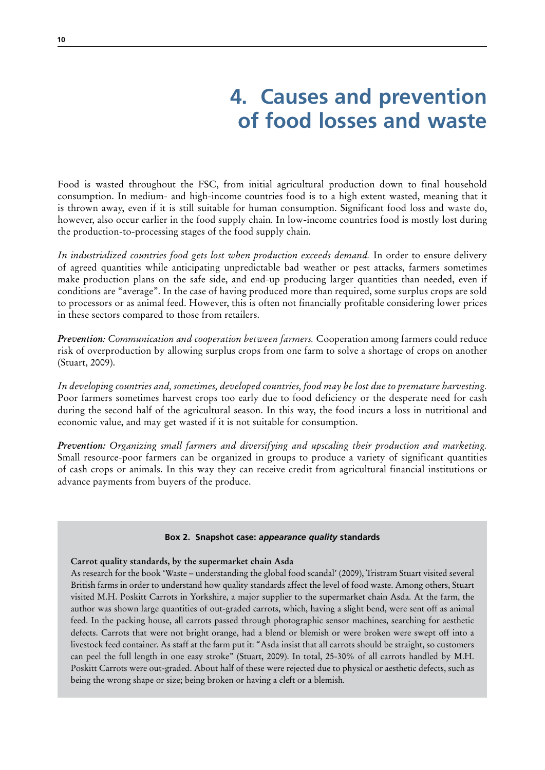# **4. Causes and prevention of food losses and waste**

Food is wasted throughout the FSC, from initial agricultural production down to final household consumption. In medium- and high-income countries food is to a high extent wasted, meaning that it is thrown away, even if it is still suitable for human consumption. Significant food loss and waste do, however, also occur earlier in the food supply chain. In low-income countries food is mostly lost during the production-to-processing stages of the food supply chain.

*In industrialized countries food gets lost when production exceeds demand.* In order to ensure delivery of agreed quantities while anticipating unpredictable bad weather or pest attacks, farmers sometimes make production plans on the safe side, and end-up producing larger quantities than needed, even if conditions are "average". In the case of having produced more than required, some surplus crops are sold to processors or as animal feed. However, this is often not financially profitable considering lower prices in these sectors compared to those from retailers.

*Prevention: Communication and cooperation between farmers.* Cooperation among farmers could reduce risk of overproduction by allowing surplus crops from one farm to solve a shortage of crops on another (Stuart, 2009).

*In developing countries and, sometimes, developed countries, food may be lost due to premature harvesting.* Poor farmers sometimes harvest crops too early due to food deficiency or the desperate need for cash during the second half of the agricultural season. In this way, the food incurs a loss in nutritional and economic value, and may get wasted if it is not suitable for consumption.

*Prevention: Organizing small farmers and diversifying and upscaling their production and marketing.* Small resource-poor farmers can be organized in groups to produce a variety of significant quantities of cash crops or animals. In this way they can receive credit from agricultural financial institutions or advance payments from buyers of the produce.

#### **Box 2. Snapshot case:** *appearance quality* **standards**

#### **Carrot quality standards, by the supermarket chain Asda**

As research for the book 'Waste – understanding the global food scandal' (2009), Tristram Stuart visited several British farms in order to understand how quality standards affect the level of food waste. Among others, Stuart visited M.H. Poskitt Carrots in Yorkshire, a major supplier to the supermarket chain Asda. At the farm, the author was shown large quantities of out-graded carrots, which, having a slight bend, were sent off as animal feed. In the packing house, all carrots passed through photographic sensor machines, searching for aesthetic defects. Carrots that were not bright orange, had a blend or blemish or were broken were swept off into a livestock feed container. As staff at the farm put it: "Asda insist that all carrots should be straight, so customers can peel the full length in one easy stroke" (Stuart, 2009). In total, 25-30% of all carrots handled by M.H. Poskitt Carrots were out-graded. About half of these were rejected due to physical or aesthetic defects, such as being the wrong shape or size; being broken or having a cleft or a blemish.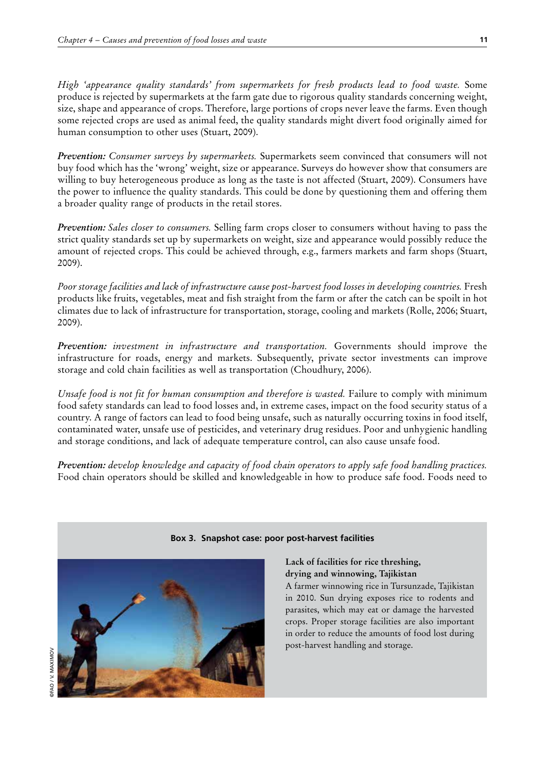*High 'appearance quality standards' from supermarkets for fresh products lead to food waste.* Some produce is rejected by supermarkets at the farm gate due to rigorous quality standards concerning weight, size, shape and appearance of crops. Therefore, large portions of crops never leave the farms. Even though some rejected crops are used as animal feed, the quality standards might divert food originally aimed for human consumption to other uses (Stuart, 2009).

*Prevention: Consumer surveys by supermarkets.* Supermarkets seem convinced that consumers will not buy food which has the 'wrong' weight, size or appearance. Surveys do however show that consumers are willing to buy heterogeneous produce as long as the taste is not affected (Stuart, 2009). Consumers have the power to influence the quality standards. This could be done by questioning them and offering them a broader quality range of products in the retail stores.

*Prevention: Sales closer to consumers.* Selling farm crops closer to consumers without having to pass the strict quality standards set up by supermarkets on weight, size and appearance would possibly reduce the amount of rejected crops. This could be achieved through, e.g., farmers markets and farm shops (Stuart, 2009).

*Poor storage facilities and lack of infrastructure cause post-harvest food losses in developing countries.* Fresh products like fruits, vegetables, meat and fish straight from the farm or after the catch can be spoilt in hot climates due to lack of infrastructure for transportation, storage, cooling and markets (Rolle, 2006; Stuart, 2009).

*Prevention: investment in infrastructure and transportation.* Governments should improve the infrastructure for roads, energy and markets. Subsequently, private sector investments can improve storage and cold chain facilities as well as transportation (Choudhury, 2006).

*Unsafe food is not fit for human consumption and therefore is wasted.* Failure to comply with minimum food safety standards can lead to food losses and, in extreme cases, impact on the food security status of a country. A range of factors can lead to food being unsafe, such as naturally occurring toxins in food itself, contaminated water, unsafe use of pesticides, and veterinary drug residues. Poor and unhygienic handling and storage conditions, and lack of adequate temperature control, can also cause unsafe food.

*Prevention: develop knowledge and capacity of food chain operators to apply safe food handling practices.* Food chain operators should be skilled and knowledgeable in how to produce safe food. Foods need to



### **Box 3. Snapshot case: poor post-harvest facilities**

**Lack of facilities for rice threshing, drying and winnowing, Tajikistan**

A farmer winnowing rice in Tursunzade, Tajikistan in 2010. Sun drying exposes rice to rodents and parasites, which may eat or damage the harvested crops. Proper storage facilities are also important in order to reduce the amounts of food lost during post-harvest handling and storage.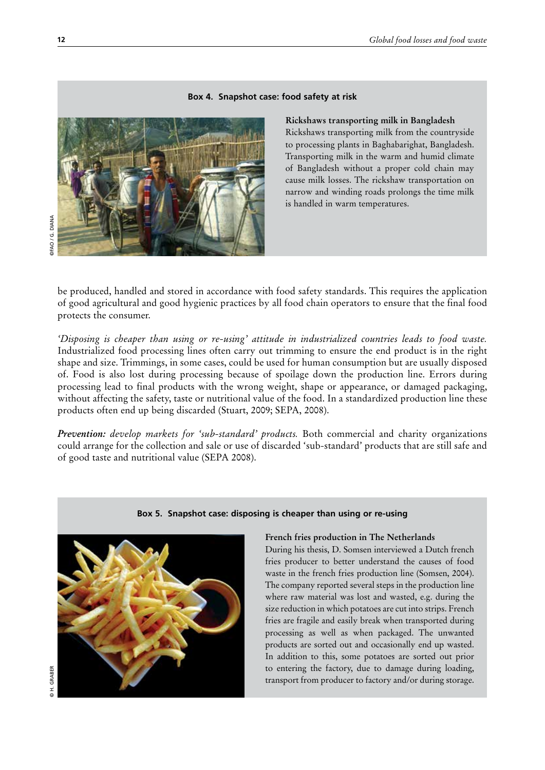### **Box 4. Snapshot case: food safety at risk**



#### **Rickshaws transporting milk in Bangladesh**

Rickshaws transporting milk from the countryside to processing plants in Baghabarighat, Bangladesh. Transporting milk in the warm and humid climate of Bangladesh without a proper cold chain may cause milk losses. The rickshaw transportation on narrow and winding roads prolongs the time milk is handled in warm temperatures.

be produced, handled and stored in accordance with food safety standards. This requires the application of good agricultural and good hygienic practices by all food chain operators to ensure that the final food protects the consumer.

*'Disposing is cheaper than using or re-using' attitude in industrialized countries leads to food waste.*  Industrialized food processing lines often carry out trimming to ensure the end product is in the right shape and size. Trimmings, in some cases, could be used for human consumption but are usually disposed of. Food is also lost during processing because of spoilage down the production line. Errors during processing lead to final products with the wrong weight, shape or appearance, or damaged packaging, without affecting the safety, taste or nutritional value of the food. In a standardized production line these products often end up being discarded (Stuart, 2009; SEPA, 2008).

*Prevention: develop markets for 'sub-standard' products.* Both commercial and charity organizations could arrange for the collection and sale or use of discarded 'sub-standard' products that are still safe and of good taste and nutritional value (SEPA 2008).



#### **Box 5. Snapshot case: disposing is cheaper than using or re-using**

#### **French fries production in The Netherlands**

During his thesis, D. Somsen interviewed a Dutch french fries producer to better understand the causes of food waste in the french fries production line (Somsen, 2004). The company reported several steps in the production line where raw material was lost and wasted, e.g. during the size reduction in which potatoes are cut into strips. French fries are fragile and easily break when transported during processing as well as when packaged. The unwanted products are sorted out and occasionally end up wasted. In addition to this, some potatoes are sorted out prior to entering the factory, due to damage during loading, transport from producer to factory and/or during storage.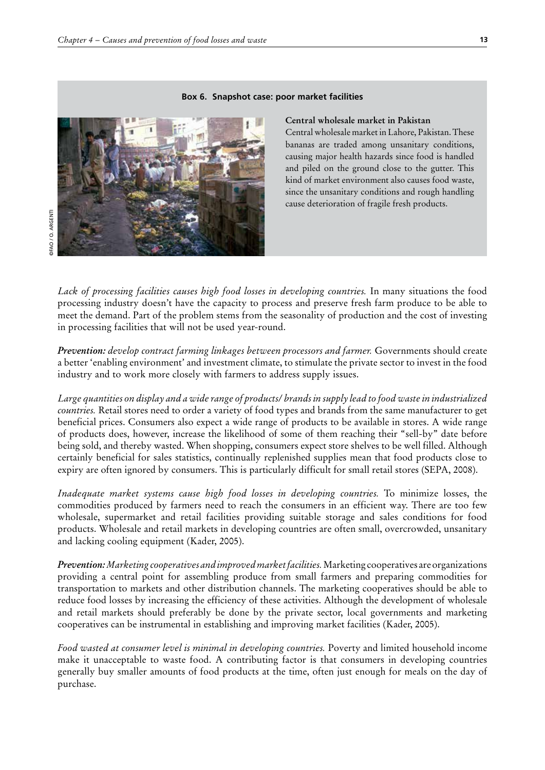#### **Box 6. Snapshot case: poor market facilities**



#### **Central wholesale market in Pakistan**

Central wholesale market in Lahore, Pakistan. These bananas are traded among unsanitary conditions, causing major health hazards since food is handled and piled on the ground close to the gutter. This kind of market environment also causes food waste, since the unsanitary conditions and rough handling cause deterioration of fragile fresh products.

*Lack of processing facilities causes high food losses in developing countries.* In many situations the food processing industry doesn't have the capacity to process and preserve fresh farm produce to be able to meet the demand. Part of the problem stems from the seasonality of production and the cost of investing in processing facilities that will not be used year-round.

*Prevention: develop contract farming linkages between processors and farmer.* Governments should create a better 'enabling environment' and investment climate, to stimulate the private sector to invest in the food industry and to work more closely with farmers to address supply issues.

*Large quantities on display and a wide range of products/ brands in supply lead to food waste in industrialized countries.* Retail stores need to order a variety of food types and brands from the same manufacturer to get beneficial prices. Consumers also expect a wide range of products to be available in stores. A wide range of products does, however, increase the likelihood of some of them reaching their "sell-by" date before being sold, and thereby wasted. When shopping, consumers expect store shelves to be well filled. Although certainly beneficial for sales statistics, continually replenished supplies mean that food products close to expiry are often ignored by consumers. This is particularly difficult for small retail stores (SEPA, 2008).

*Inadequate market systems cause high food losses in developing countries.* To minimize losses, the commodities produced by farmers need to reach the consumers in an efficient way. There are too few wholesale, supermarket and retail facilities providing suitable storage and sales conditions for food products. Wholesale and retail markets in developing countries are often small, overcrowded, unsanitary and lacking cooling equipment (Kader, 2005).

*Prevention: Marketing cooperatives and improved market facilities.* Marketing cooperatives are organizations providing a central point for assembling produce from small farmers and preparing commodities for transportation to markets and other distribution channels. The marketing cooperatives should be able to reduce food losses by increasing the efficiency of these activities. Although the development of wholesale and retail markets should preferably be done by the private sector, local governments and marketing cooperatives can be instrumental in establishing and improving market facilities (Kader, 2005).

*Food wasted at consumer level is minimal in developing countries.* Poverty and limited household income make it unacceptable to waste food. A contributing factor is that consumers in developing countries generally buy smaller amounts of food products at the time, often just enough for meals on the day of purchase.